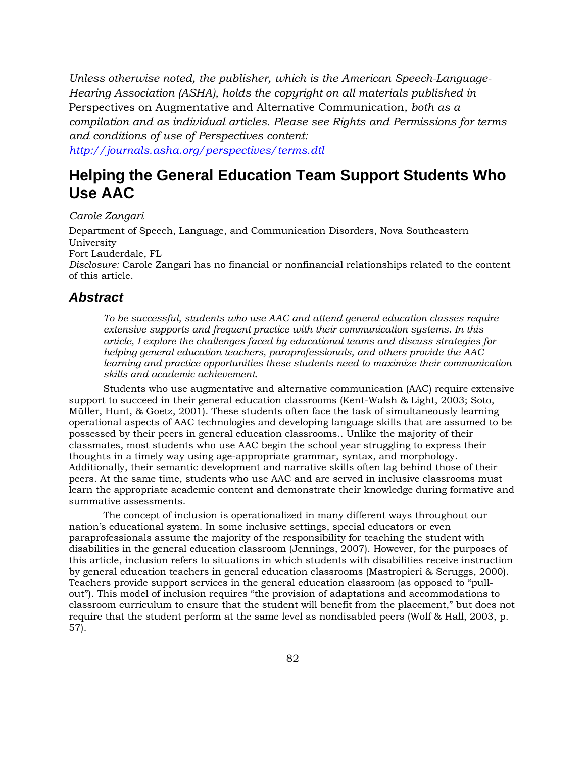*Unless otherwise noted, the publisher, which is the American Speech-Language-Hearing Association (ASHA), holds the copyright on all materials published in*  Perspectives on Augmentative and Alternative Communication*, both as a compilation and as individual articles. Please see Rights and Permissions for terms and conditions of use of Perspectives content:* 

*http://journals.asha.org/perspectives/terms.dtl*

# **Helping the General Education Team Support Students Who Use AAC**

#### *Carole Zangari*

Department of Speech, Language, and Communication Disorders, Nova Southeastern University Fort Lauderdale, FL

*Disclosure:* Carole Zangari has no financial or nonfinancial relationships related to the content of this article.

### *Abstract*

*To be successful, students who use AAC and attend general education classes require extensive supports and frequent practice with their communication systems. In this article, I explore the challenges faced by educational teams and discuss strategies for helping general education teachers, paraprofessionals, and others provide the AAC learning and practice opportunities these students need to maximize their communication skills and academic achievement.* 

Students who use augmentative and alternative communication (AAC) require extensive support to succeed in their general education classrooms (Kent-Walsh & Light, 2003; Soto, Müller, Hunt, & Goetz, 2001). These students often face the task of simultaneously learning operational aspects of AAC technologies and developing language skills that are assumed to be possessed by their peers in general education classrooms.. Unlike the majority of their classmates, most students who use AAC begin the school year struggling to express their thoughts in a timely way using age-appropriate grammar, syntax, and morphology. Additionally, their semantic development and narrative skills often lag behind those of their peers. At the same time, students who use AAC and are served in inclusive classrooms must learn the appropriate academic content and demonstrate their knowledge during formative and summative assessments.

The concept of inclusion is operationalized in many different ways throughout our nation's educational system. In some inclusive settings, special educators or even paraprofessionals assume the majority of the responsibility for teaching the student with disabilities in the general education classroom (Jennings, 2007). However, for the purposes of this article, inclusion refers to situations in which students with disabilities receive instruction by general education teachers in general education classrooms (Mastropieri & Scruggs, 2000). Teachers provide support services in the general education classroom (as opposed to "pullout"). This model of inclusion requires "the provision of adaptations and accommodations to classroom curriculum to ensure that the student will benefit from the placement," but does not require that the student perform at the same level as nondisabled peers (Wolf & Hall, 2003, p. 57).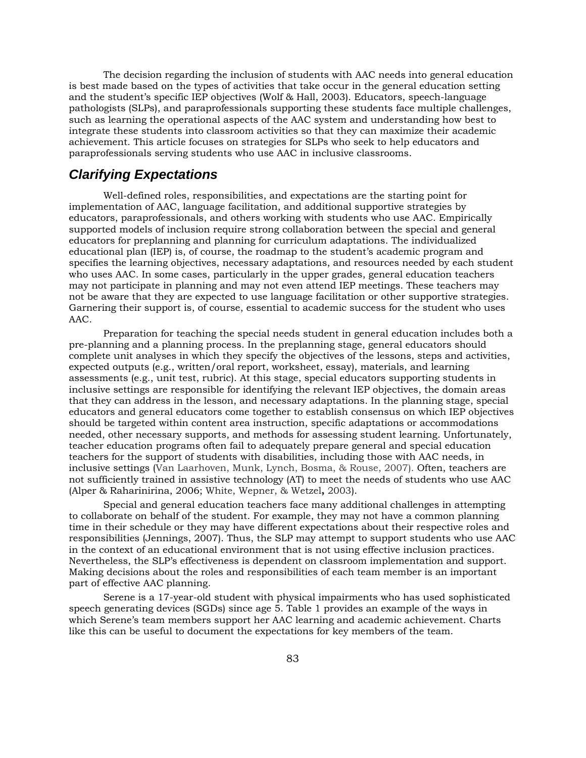The decision regarding the inclusion of students with AAC needs into general education is best made based on the types of activities that take occur in the general education setting and the student's specific IEP objectives (Wolf & Hall, 2003). Educators, speech-language pathologists (SLPs), and paraprofessionals supporting these students face multiple challenges, such as learning the operational aspects of the AAC system and understanding how best to integrate these students into classroom activities so that they can maximize their academic achievement. This article focuses on strategies for SLPs who seek to help educators and paraprofessionals serving students who use AAC in inclusive classrooms.

### *Clarifying Expectations*

Well-defined roles, responsibilities, and expectations are the starting point for implementation of AAC, language facilitation, and additional supportive strategies by educators, paraprofessionals, and others working with students who use AAC. Empirically supported models of inclusion require strong collaboration between the special and general educators for preplanning and planning for curriculum adaptations. The individualized educational plan (IEP) is, of course, the roadmap to the student's academic program and specifies the learning objectives, necessary adaptations, and resources needed by each student who uses AAC. In some cases, particularly in the upper grades, general education teachers may not participate in planning and may not even attend IEP meetings. These teachers may not be aware that they are expected to use language facilitation or other supportive strategies. Garnering their support is, of course, essential to academic success for the student who uses AAC.

Preparation for teaching the special needs student in general education includes both a pre-planning and a planning process. In the preplanning stage, general educators should complete unit analyses in which they specify the objectives of the lessons, steps and activities, expected outputs (e.g., written/oral report, worksheet, essay), materials, and learning assessments (e.g., unit test, rubric). At this stage, special educators supporting students in inclusive settings are responsible for identifying the relevant IEP objectives, the domain areas that they can address in the lesson, and necessary adaptations. In the planning stage, special educators and general educators come together to establish consensus on which IEP objectives should be targeted within content area instruction, specific adaptations or accommodations needed, other necessary supports, and methods for assessing student learning. Unfortunately, teacher education programs often fail to adequately prepare general and special education teachers for the support of students with disabilities, including those with AAC needs, in inclusive settings (Van Laarhoven, Munk, Lynch, Bosma, & Rouse, 2007). Often, teachers are not sufficiently trained in assistive technology (AT) to meet the needs of students who use AAC (Alper & Raharinirina, 2006; White, Wepner, & Wetzel**,** 2003).

Special and general education teachers face many additional challenges in attempting to collaborate on behalf of the student. For example, they may not have a common planning time in their schedule or they may have different expectations about their respective roles and responsibilities (Jennings, 2007). Thus, the SLP may attempt to support students who use AAC in the context of an educational environment that is not using effective inclusion practices. Nevertheless, the SLP's effectiveness is dependent on classroom implementation and support. Making decisions about the roles and responsibilities of each team member is an important part of effective AAC planning.

Serene is a 17-year-old student with physical impairments who has used sophisticated speech generating devices (SGDs) since age 5. Table 1 provides an example of the ways in which Serene's team members support her AAC learning and academic achievement. Charts like this can be useful to document the expectations for key members of the team.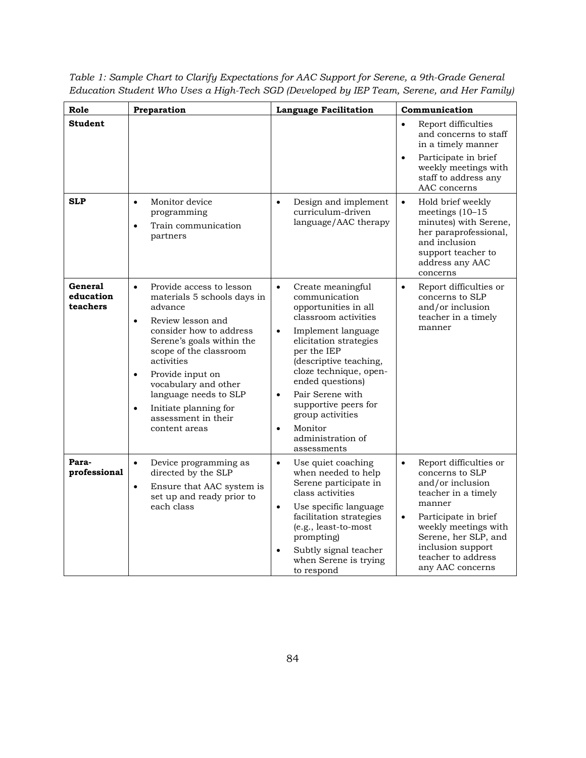| Role                             | Preparation                                                                                                                                                                                                                                                                                                                                                                       | <b>Language Facilitation</b>                                                                                                                                                                                                                                                                                                                                                                 | Communication                                                                                                                                                                                                                                                   |
|----------------------------------|-----------------------------------------------------------------------------------------------------------------------------------------------------------------------------------------------------------------------------------------------------------------------------------------------------------------------------------------------------------------------------------|----------------------------------------------------------------------------------------------------------------------------------------------------------------------------------------------------------------------------------------------------------------------------------------------------------------------------------------------------------------------------------------------|-----------------------------------------------------------------------------------------------------------------------------------------------------------------------------------------------------------------------------------------------------------------|
| <b>Student</b>                   |                                                                                                                                                                                                                                                                                                                                                                                   |                                                                                                                                                                                                                                                                                                                                                                                              | $\bullet$<br>Report difficulties<br>and concerns to staff<br>in a timely manner<br>Participate in brief<br>$\bullet$<br>weekly meetings with<br>staff to address any                                                                                            |
| <b>SLP</b>                       | Monitor device<br>$\bullet$<br>programming<br>Train communication<br>$\bullet$<br>partners                                                                                                                                                                                                                                                                                        | Design and implement<br>$\bullet$<br>curriculum-driven<br>language/AAC therapy                                                                                                                                                                                                                                                                                                               | AAC concerns<br>Hold brief weekly<br>$\bullet$<br>meetings $(10-15)$<br>minutes) with Serene,<br>her paraprofessional,<br>and inclusion<br>support teacher to<br>address any AAC<br>concerns                                                                    |
| General<br>education<br>teachers | Provide access to lesson<br>$\bullet$<br>materials 5 schools days in<br>advance<br>Review lesson and<br>$\bullet$<br>consider how to address<br>Serene's goals within the<br>scope of the classroom<br>activities<br>Provide input on<br>$\bullet$<br>vocabulary and other<br>language needs to SLP<br>Initiate planning for<br>$\bullet$<br>assessment in their<br>content areas | Create meaningful<br>$\bullet$<br>communication<br>opportunities in all<br>classroom activities<br>Implement language<br>$\bullet$<br>elicitation strategies<br>per the IEP<br>(descriptive teaching,<br>cloze technique, open-<br>ended questions)<br>Pair Serene with<br>$\bullet$<br>supportive peers for<br>group activities<br>Monitor<br>$\bullet$<br>administration of<br>assessments | Report difficulties or<br>$\bullet$<br>concerns to SLP<br>and/or inclusion<br>teacher in a timely<br>manner                                                                                                                                                     |
| Para-<br>professional            | Device programming as<br>$\bullet$<br>directed by the SLP<br>Ensure that AAC system is<br>$\bullet$<br>set up and ready prior to<br>each class                                                                                                                                                                                                                                    | Use quiet coaching<br>$\bullet$<br>when needed to help<br>Serene participate in<br>class activities<br>Use specific language<br>$\bullet$<br>facilitation strategies<br>(e.g., least-to-most<br>prompting)<br>Subtly signal teacher<br>when Serene is trying<br>to respond                                                                                                                   | Report difficulties or<br>$\bullet$<br>concerns to SLP<br>and/or inclusion<br>teacher in a timely<br>manner<br>Participate in brief<br>$\bullet$<br>weekly meetings with<br>Serene, her SLP, and<br>inclusion support<br>teacher to address<br>any AAC concerns |

*Table 1: Sample Chart to Clarify Expectations for AAC Support for Serene, a 9th-Grade General Education Student Who Uses a High-Tech SGD (Developed by IEP Team, Serene, and Her Family)*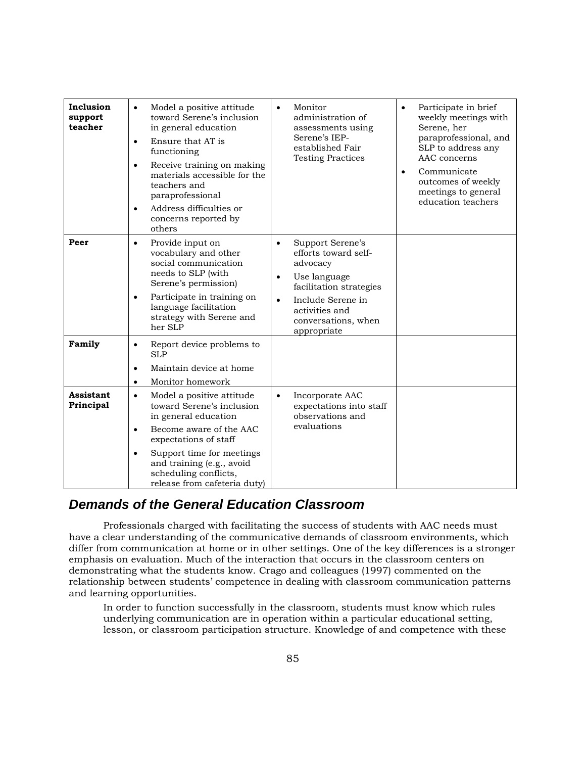| Inclusion<br>support<br>teacher | Model a positive attitude<br>$\bullet$<br>toward Serene's inclusion<br>in general education<br>Ensure that AT is<br>$\bullet$<br>functioning<br>Receive training on making<br>$\bullet$<br>materials accessible for the<br>teachers and<br>paraprofessional<br>Address difficulties or<br>$\bullet$<br>concerns reported by<br>others | Monitor<br>$\bullet$<br>administration of<br>assessments using<br>Serene's IEP-<br>established Fair<br><b>Testing Practices</b>                                                                                     | Participate in brief<br>$\bullet$<br>weekly meetings with<br>Serene, her<br>paraprofessional, and<br>SLP to address any<br>AAC concerns<br>Communicate<br>$\bullet$<br>outcomes of weekly<br>meetings to general<br>education teachers |
|---------------------------------|---------------------------------------------------------------------------------------------------------------------------------------------------------------------------------------------------------------------------------------------------------------------------------------------------------------------------------------|---------------------------------------------------------------------------------------------------------------------------------------------------------------------------------------------------------------------|----------------------------------------------------------------------------------------------------------------------------------------------------------------------------------------------------------------------------------------|
| Peer                            | Provide input on<br>$\bullet$<br>vocabulary and other<br>social communication<br>needs to SLP (with<br>Serene's permission)<br>Participate in training on<br>$\bullet$<br>language facilitation<br>strategy with Serene and<br>her SLP                                                                                                | Support Serene's<br>$\bullet$<br>efforts toward self-<br>advocacy<br>Use language<br>$\bullet$<br>facilitation strategies<br>Include Serene in<br>$\bullet$<br>activities and<br>conversations, when<br>appropriate |                                                                                                                                                                                                                                        |
| Family                          | Report device problems to<br>$\bullet$<br><b>SLP</b><br>Maintain device at home<br>$\bullet$<br>Monitor homework<br>$\bullet$                                                                                                                                                                                                         |                                                                                                                                                                                                                     |                                                                                                                                                                                                                                        |
| <b>Assistant</b><br>Principal   | Model a positive attitude<br>$\bullet$<br>toward Serene's inclusion<br>in general education<br>Become aware of the AAC<br>$\bullet$<br>expectations of staff<br>Support time for meetings<br>٠<br>and training (e.g., avoid<br>scheduling conflicts,<br>release from cafeteria duty)                                                  | Incorporate AAC<br>$\bullet$<br>expectations into staff<br>observations and<br>evaluations                                                                                                                          |                                                                                                                                                                                                                                        |

## *Demands of the General Education Classroom*

Professionals charged with facilitating the success of students with AAC needs must have a clear understanding of the communicative demands of classroom environments, which differ from communication at home or in other settings. One of the key differences is a stronger emphasis on evaluation. Much of the interaction that occurs in the classroom centers on demonstrating what the students know. Crago and colleagues (1997) commented on the relationship between students' competence in dealing with classroom communication patterns and learning opportunities.

In order to function successfully in the classroom, students must know which rules underlying communication are in operation within a particular educational setting, lesson, or classroom participation structure. Knowledge of and competence with these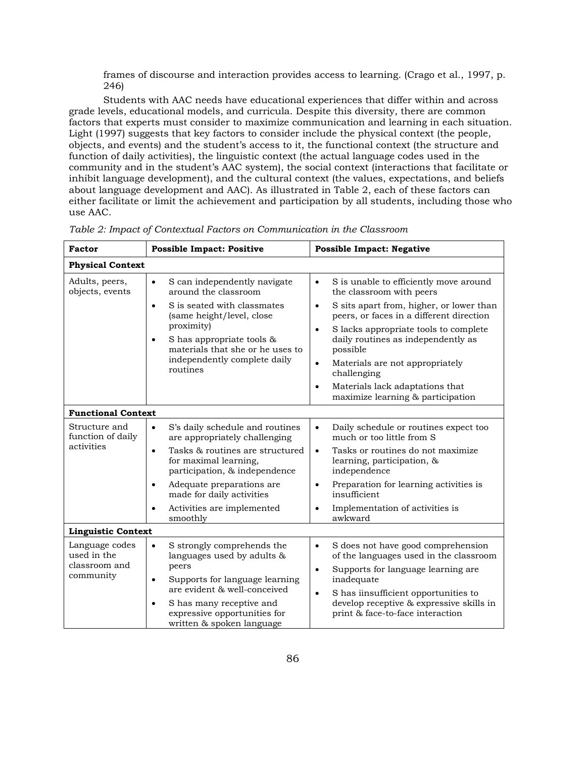frames of discourse and interaction provides access to learning. (Crago et al., 1997, p. 246)

Students with AAC needs have educational experiences that differ within and across grade levels, educational models, and curricula. Despite this diversity, there are common factors that experts must consider to maximize communication and learning in each situation. Light (1997) suggests that key factors to consider include the physical context (the people, objects, and events) and the student's access to it, the functional context (the structure and function of daily activities), the linguistic context (the actual language codes used in the community and in the student's AAC system), the social context (interactions that facilitate or inhibit language development), and the cultural context (the values, expectations, and beliefs about language development and AAC). As illustrated in Table 2, each of these factors can either facilitate or limit the achievement and participation by all students, including those who use AAC.

| <b>Factor</b><br><b>Possible Impact: Positive</b>           |                                                                                                                                                                                                                                                                                                                       | <b>Possible Impact: Negative</b>                                                                                                                                                                                                                                                                                                                                                                                                                 |  |  |  |
|-------------------------------------------------------------|-----------------------------------------------------------------------------------------------------------------------------------------------------------------------------------------------------------------------------------------------------------------------------------------------------------------------|--------------------------------------------------------------------------------------------------------------------------------------------------------------------------------------------------------------------------------------------------------------------------------------------------------------------------------------------------------------------------------------------------------------------------------------------------|--|--|--|
| <b>Physical Context</b>                                     |                                                                                                                                                                                                                                                                                                                       |                                                                                                                                                                                                                                                                                                                                                                                                                                                  |  |  |  |
| Adults, peers,<br>objects, events                           | S can independently navigate<br>$\bullet$<br>around the classroom<br>S is seated with classmates<br>$\bullet$<br>(same height/level, close<br>proximity)<br>S has appropriate tools &<br>$\bullet$<br>materials that she or he uses to<br>independently complete daily<br>routines                                    | S is unable to efficiently move around<br>$\bullet$<br>the classroom with peers<br>S sits apart from, higher, or lower than<br>$\bullet$<br>peers, or faces in a different direction<br>S lacks appropriate tools to complete<br>$\bullet$<br>daily routines as independently as<br>possible<br>Materials are not appropriately<br>$\bullet$<br>challenging<br>Materials lack adaptations that<br>$\bullet$<br>maximize learning & participation |  |  |  |
| <b>Functional Context</b>                                   |                                                                                                                                                                                                                                                                                                                       |                                                                                                                                                                                                                                                                                                                                                                                                                                                  |  |  |  |
| Structure and<br>function of daily<br>activities            | S's daily schedule and routines<br>$\bullet$<br>are appropriately challenging<br>Tasks & routines are structured<br>$\bullet$<br>for maximal learning,<br>participation, & independence<br>Adequate preparations are<br>$\bullet$<br>made for daily activities<br>Activities are implemented<br>$\bullet$<br>smoothly | Daily schedule or routines expect too<br>$\bullet$<br>much or too little from S<br>Tasks or routines do not maximize<br>$\bullet$<br>learning, participation, &<br>independence<br>Preparation for learning activities is<br>$\bullet$<br>insufficient<br>Implementation of activities is<br>$\bullet$<br>awkward                                                                                                                                |  |  |  |
| <b>Linguistic Context</b>                                   |                                                                                                                                                                                                                                                                                                                       |                                                                                                                                                                                                                                                                                                                                                                                                                                                  |  |  |  |
| Language codes<br>used in the<br>classroom and<br>community | S strongly comprehends the<br>$\bullet$<br>languages used by adults &<br>peers<br>Supports for language learning<br>$\bullet$<br>are evident & well-conceived<br>S has many receptive and<br>٠<br>expressive opportunities for<br>written & spoken language                                                           | S does not have good comprehension<br>$\bullet$<br>of the languages used in the classroom<br>Supports for language learning are<br>$\bullet$<br>inadequate<br>S has iinsufficient opportunities to<br>$\bullet$<br>develop receptive & expressive skills in<br>print & face-to-face interaction                                                                                                                                                  |  |  |  |

*Table 2: Impact of Contextual Factors on Communication in the Classroom*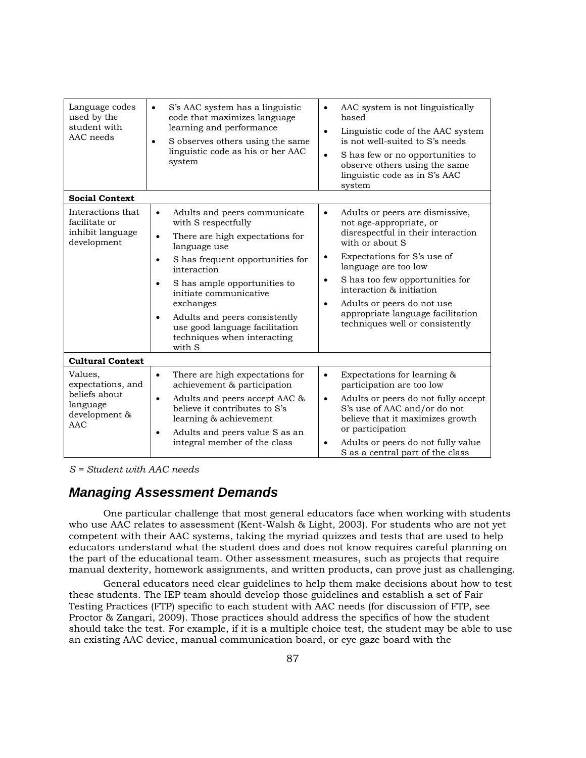| Language codes<br>used by the<br>student with<br>AAC needs | S's AAC system has a linguistic<br>code that maximizes language<br>learning and performance<br>S observes others using the same<br>$\bullet$<br>linguistic code as his or her AAC<br>system | AAC system is not linguistically<br>$\bullet$<br>based<br>Linguistic code of the AAC system<br>$\bullet$<br>is not well-suited to S's needs<br>S has few or no opportunities to<br>$\bullet$<br>observe others using the same<br>linguistic code as in S's AAC<br>system |
|------------------------------------------------------------|---------------------------------------------------------------------------------------------------------------------------------------------------------------------------------------------|--------------------------------------------------------------------------------------------------------------------------------------------------------------------------------------------------------------------------------------------------------------------------|
| <b>Social Context</b>                                      |                                                                                                                                                                                             |                                                                                                                                                                                                                                                                          |
| Interactions that<br>facilitate or                         | Adults and peers communicate<br>$\bullet$<br>with S respectfully                                                                                                                            | Adults or peers are dismissive,<br>$\bullet$<br>not age-appropriate, or                                                                                                                                                                                                  |
| inhibit language<br>development                            | There are high expectations for<br>$\bullet$<br>language use                                                                                                                                | disrespectful in their interaction<br>with or about S                                                                                                                                                                                                                    |
|                                                            | S has frequent opportunities for<br>$\bullet$<br>interaction                                                                                                                                | Expectations for S's use of<br>$\bullet$<br>language are too low                                                                                                                                                                                                         |
|                                                            | S has ample opportunities to<br>$\bullet$<br>initiate communicative                                                                                                                         | S has too few opportunities for<br>$\bullet$<br>interaction & initiation                                                                                                                                                                                                 |
|                                                            | exchanges                                                                                                                                                                                   | Adults or peers do not use<br>$\bullet$                                                                                                                                                                                                                                  |
|                                                            | Adults and peers consistently<br>$\bullet$<br>use good language facilitation<br>techniques when interacting<br>with S                                                                       | appropriate language facilitation<br>techniques well or consistently                                                                                                                                                                                                     |
| <b>Cultural Context</b>                                    |                                                                                                                                                                                             |                                                                                                                                                                                                                                                                          |
| Values,<br>expectations, and                               | There are high expectations for<br>$\bullet$<br>achievement & participation                                                                                                                 | Expectations for learning &<br>$\bullet$<br>participation are too low                                                                                                                                                                                                    |
| beliefs about<br>language<br>development &                 | Adults and peers accept AAC &<br>$\bullet$<br>believe it contributes to S's<br>learning & achievement                                                                                       | Adults or peers do not fully accept<br>$\bullet$<br>S's use of AAC and/or do not<br>believe that it maximizes growth                                                                                                                                                     |
| AAC                                                        | Adults and peers value S as an<br>$\bullet$<br>integral member of the class                                                                                                                 | or participation<br>Adults or peers do not fully value<br>$\bullet$                                                                                                                                                                                                      |
|                                                            |                                                                                                                                                                                             | S as a central part of the class                                                                                                                                                                                                                                         |

*S = Student with AAC needs* 

## *Managing Assessment Demands*

One particular challenge that most general educators face when working with students who use AAC relates to assessment (Kent-Walsh & Light, 2003). For students who are not yet competent with their AAC systems, taking the myriad quizzes and tests that are used to help educators understand what the student does and does not know requires careful planning on the part of the educational team. Other assessment measures, such as projects that require manual dexterity, homework assignments, and written products, can prove just as challenging.

General educators need clear guidelines to help them make decisions about how to test these students. The IEP team should develop those guidelines and establish a set of Fair Testing Practices (FTP) specific to each student with AAC needs (for discussion of FTP, see Proctor & Zangari, 2009). Those practices should address the specifics of how the student should take the test. For example, if it is a multiple choice test, the student may be able to use an existing AAC device, manual communication board, or eye gaze board with the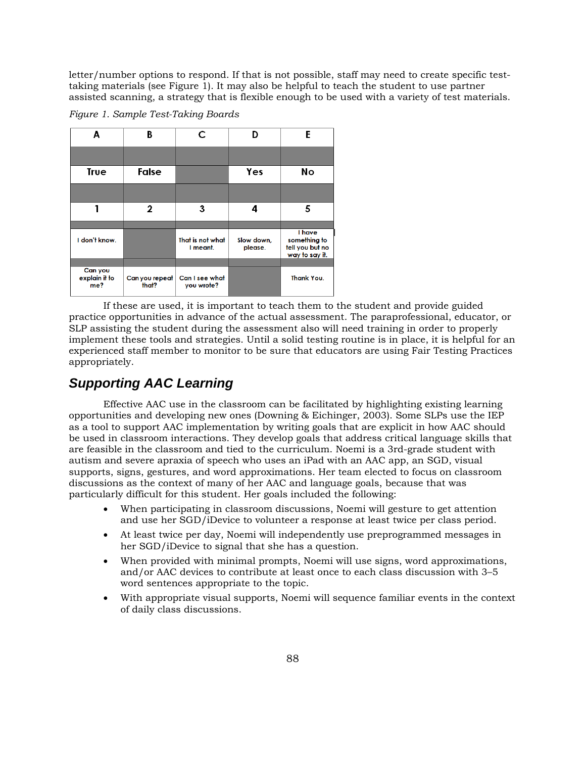letter/number options to respond. If that is not possible, staff may need to create specific testtaking materials (see Figure 1). It may also be helpful to teach the student to use partner assisted scanning, a strategy that is flexible enough to be used with a variety of test materials.

B D. A  $\mathsf{C}$ E **Yes** No **True** False  $\mathbf{1}$  $\overline{2}$ 3 4 5 I have I don't know. That is not what Slow down, something to please. tell you but no I meant. way to say it. Can you **Thank You.** explain it to Can you repeat Can I see what me? that? you wrote?

*Figure 1. Sample Test-Taking Boards* 

If these are used, it is important to teach them to the student and provide guided practice opportunities in advance of the actual assessment. The paraprofessional, educator, or SLP assisting the student during the assessment also will need training in order to properly implement these tools and strategies. Until a solid testing routine is in place, it is helpful for an experienced staff member to monitor to be sure that educators are using Fair Testing Practices appropriately.

## *Supporting AAC Learning*

Effective AAC use in the classroom can be facilitated by highlighting existing learning opportunities and developing new ones (Downing & Eichinger, 2003). Some SLPs use the IEP as a tool to support AAC implementation by writing goals that are explicit in how AAC should be used in classroom interactions. They develop goals that address critical language skills that are feasible in the classroom and tied to the curriculum. Noemi is a 3rd-grade student with autism and severe apraxia of speech who uses an iPad with an AAC app, an SGD, visual supports, signs, gestures, and word approximations. Her team elected to focus on classroom discussions as the context of many of her AAC and language goals, because that was particularly difficult for this student. Her goals included the following:

- When participating in classroom discussions, Noemi will gesture to get attention and use her SGD/iDevice to volunteer a response at least twice per class period.
- At least twice per day, Noemi will independently use preprogrammed messages in her SGD/iDevice to signal that she has a question.
- When provided with minimal prompts, Noemi will use signs, word approximations, and/or AAC devices to contribute at least once to each class discussion with 3–5 word sentences appropriate to the topic.
- With appropriate visual supports, Noemi will sequence familiar events in the context of daily class discussions.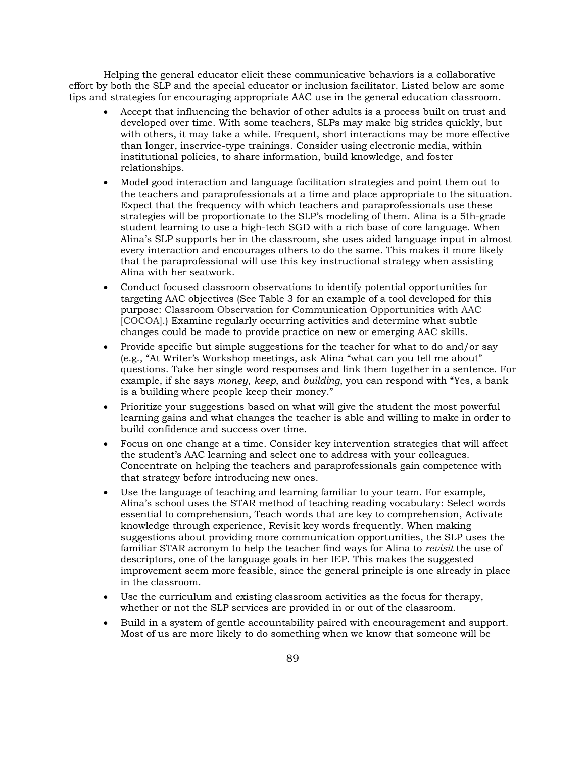Helping the general educator elicit these communicative behaviors is a collaborative effort by both the SLP and the special educator or inclusion facilitator. Listed below are some tips and strategies for encouraging appropriate AAC use in the general education classroom.

- Accept that influencing the behavior of other adults is a process built on trust and developed over time. With some teachers, SLPs may make big strides quickly, but with others, it may take a while. Frequent, short interactions may be more effective than longer, inservice-type trainings. Consider using electronic media, within institutional policies, to share information, build knowledge, and foster relationships.
- Model good interaction and language facilitation strategies and point them out to the teachers and paraprofessionals at a time and place appropriate to the situation. Expect that the frequency with which teachers and paraprofessionals use these strategies will be proportionate to the SLP's modeling of them. Alina is a 5th-grade student learning to use a high-tech SGD with a rich base of core language. When Alina's SLP supports her in the classroom, she uses aided language input in almost every interaction and encourages others to do the same. This makes it more likely that the paraprofessional will use this key instructional strategy when assisting Alina with her seatwork.
- Conduct focused classroom observations to identify potential opportunities for targeting AAC objectives (See Table 3 for an example of a tool developed for this purpose: Classroom Observation for Communication Opportunities with AAC [COCOA].) Examine regularly occurring activities and determine what subtle changes could be made to provide practice on new or emerging AAC skills.
- Provide specific but simple suggestions for the teacher for what to do and/or say (e.g., "At Writer's Workshop meetings, ask Alina "what can you tell me about" questions. Take her single word responses and link them together in a sentence. For example, if she says *money*, *keep*, and *building*, you can respond with "Yes, a bank is a building where people keep their money."
- Prioritize your suggestions based on what will give the student the most powerful learning gains and what changes the teacher is able and willing to make in order to build confidence and success over time.
- Focus on one change at a time. Consider key intervention strategies that will affect the student's AAC learning and select one to address with your colleagues. Concentrate on helping the teachers and paraprofessionals gain competence with that strategy before introducing new ones.
- Use the language of teaching and learning familiar to your team. For example, Alina's school uses the STAR method of teaching reading vocabulary: Select words essential to comprehension, Teach words that are key to comprehension, Activate knowledge through experience, Revisit key words frequently. When making suggestions about providing more communication opportunities, the SLP uses the familiar STAR acronym to help the teacher find ways for Alina to *revisit* the use of descriptors, one of the language goals in her IEP. This makes the suggested improvement seem more feasible, since the general principle is one already in place in the classroom.
- Use the curriculum and existing classroom activities as the focus for therapy, whether or not the SLP services are provided in or out of the classroom.
- Build in a system of gentle accountability paired with encouragement and support. Most of us are more likely to do something when we know that someone will be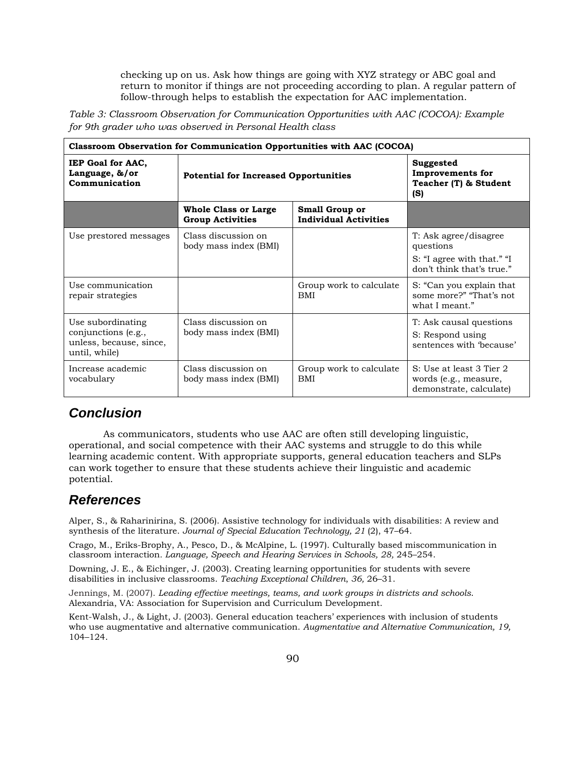checking up on us. Ask how things are going with XYZ strategy or ABC goal and return to monitor if things are not proceeding according to plan. A regular pattern of follow-through helps to establish the expectation for AAC implementation.

*Table 3: Classroom Observation for Communication Opportunities with AAC (COCOA): Example for 9th grader who was observed in Personal Health class* 

| <b>Classroom Observation for Communication Opportunities with AAC (COCOA)</b>        |                                                        |                                                       |                                                                                               |  |  |
|--------------------------------------------------------------------------------------|--------------------------------------------------------|-------------------------------------------------------|-----------------------------------------------------------------------------------------------|--|--|
| <b>IEP Goal for AAC,</b><br>Language, &/or<br>Communication                          | <b>Potential for Increased Opportunities</b>           |                                                       | Suggested<br><b>Improvements for</b><br>Teacher (T) & Student<br>(S)                          |  |  |
|                                                                                      | <b>Whole Class or Large</b><br><b>Group Activities</b> | <b>Small Group or</b><br><b>Individual Activities</b> |                                                                                               |  |  |
| Use prestored messages                                                               | Class discussion on<br>body mass index (BMI)           |                                                       | T: Ask agree/disagree<br>questions<br>S: "I agree with that." "I<br>don't think that's true." |  |  |
| Use communication<br>repair strategies                                               |                                                        | Group work to calculate<br>BMI                        | S: "Can you explain that<br>some more?" "That's not<br>what I meant."                         |  |  |
| Use subordinating<br>conjunctions (e.g.,<br>unless, because, since,<br>until, while) | Class discussion on<br>body mass index (BMI)           |                                                       | T: Ask causal questions<br>S: Respond using<br>sentences with 'because'                       |  |  |
| Increase academic<br>vocabulary                                                      | Class discussion on<br>body mass index (BMI)           | Group work to calculate<br>BMI                        | S: Use at least 3 Tier 2<br>words (e.g., measure,<br>demonstrate, calculate)                  |  |  |

### *Conclusion*

As communicators, students who use AAC are often still developing linguistic, operational, and social competence with their AAC systems and struggle to do this while learning academic content. With appropriate supports, general education teachers and SLPs can work together to ensure that these students achieve their linguistic and academic potential.

### *References*

Alper, S., & Raharinirina, S. (2006). Assistive technology for individuals with disabilities: A review and synthesis of the literature. *Journal of Special Education Technology, 21* (2), 47–64.

Crago, M., Eriks-Brophy, A., Pesco, D., & McAlpine, L. (1997). Culturally based miscommunication in classroom interaction*. Language, Speech and Hearing Services in Schools, 28,* 245–254.

Downing, J. E., & Eichinger, J. (2003). Creating learning opportunities for students with severe disabilities in inclusive classrooms. *Teaching Exceptional Children*, *36,* 26–31.

Jennings, M. (2007). *Leading effective meetings, teams, and work groups in districts and schools*. Alexandria, VA: Association for Supervision and Curriculum Development.

Kent-Walsh, J., & Light, J. (2003). General education teachers' experiences with inclusion of students who use augmentative and alternative communication. *Augmentative and Alternative Communication, 19,*  104–124.